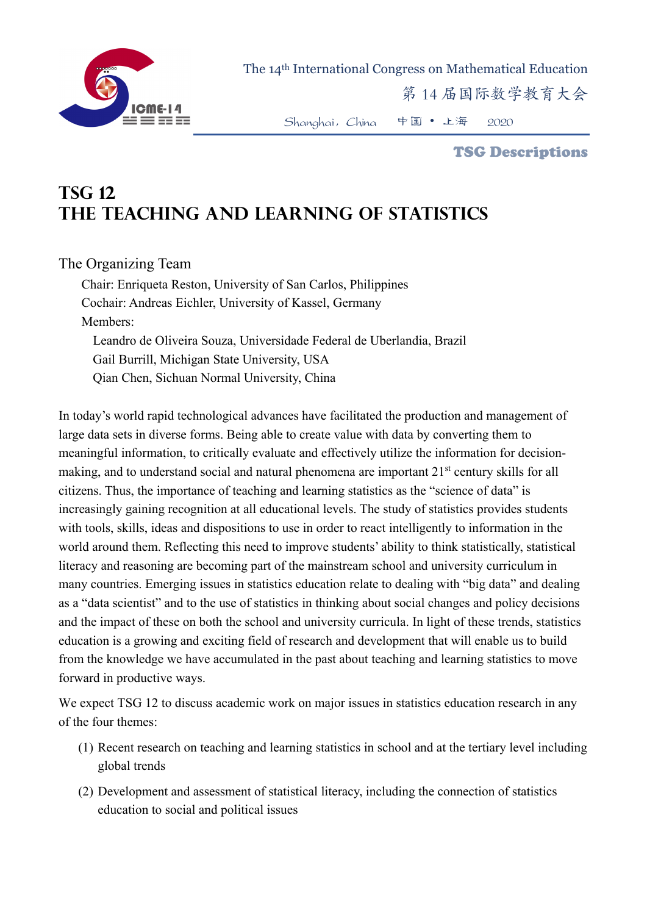

The 14th International Congress on Mathematical Education

第 14 届国际数学教育大会

Shanghai,China 中国 • 上海 2020

## TSG Descriptions

## **TSG 12 The Teaching and Learning of Statistics**

## The Organizing Team

Chair: Enriqueta Reston, University of San Carlos, Philippines Cochair: Andreas Eichler, University of Kassel, Germany Members: Leandro de Oliveira Souza, Universidade Federal de Uberlandia, Brazil Gail Burrill, Michigan State University, USA Qian Chen, Sichuan Normal University, China

In today's world rapid technological advances have facilitated the production and management of large data sets in diverse forms. Being able to create value with data by converting them to meaningful information, to critically evaluate and effectively utilize the information for decisionmaking, and to understand social and natural phenomena are important 21<sup>st</sup> century skills for all citizens. Thus, the importance of teaching and learning statistics as the "science of data" is increasingly gaining recognition at all educational levels. The study of statistics provides students with tools, skills, ideas and dispositions to use in order to react intelligently to information in the world around them. Reflecting this need to improve students' ability to think statistically, statistical literacy and reasoning are becoming part of the mainstream school and university curriculum in many countries. Emerging issues in statistics education relate to dealing with "big data" and dealing as a "data scientist" and to the use of statistics in thinking about social changes and policy decisions and the impact of these on both the school and university curricula. In light of these trends, statistics education is a growing and exciting field of research and development that will enable us to build from the knowledge we have accumulated in the past about teaching and learning statistics to move forward in productive ways.

We expect TSG 12 to discuss academic work on major issues in statistics education research in any of the four themes:

- (1) Recent research on teaching and learning statistics in school and at the tertiary level including global trends
- (2) Development and assessment of statistical literacy, including the connection of statistics education to social and political issues